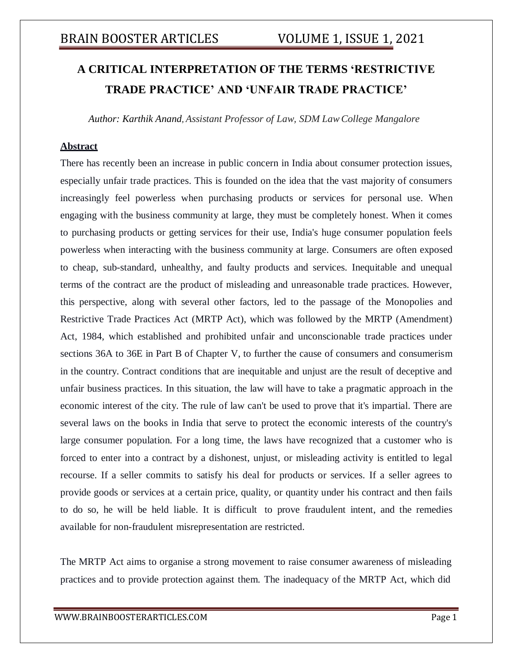# **A CRITICAL INTERPRETATION OF THE TERMS 'RESTRICTIVE TRADE PRACTICE' AND 'UNFAIR TRADE PRACTICE'**

*Author: Karthik Anand, Assistant Professor of Law, SDM LawCollege Mangalore*

### **Abstract**

There has recently been an increase in public concern in India about consumer protection issues, especially unfair trade practices. This is founded on the idea that the vast majority of consumers increasingly feel powerless when purchasing products or services for personal use. When engaging with the business community at large, they must be completely honest. When it comes to purchasing products or getting services for their use, India's huge consumer population feels powerless when interacting with the business community at large. Consumers are often exposed to cheap, sub-standard, unhealthy, and faulty products and services. Inequitable and unequal terms of the contract are the product of misleading and unreasonable trade practices. However, this perspective, along with several other factors, led to the passage of the Monopolies and Restrictive Trade Practices Act (MRTP Act), which was followed by the MRTP (Amendment) Act, 1984, which established and prohibited unfair and unconscionable trade practices under sections 36A to 36E in Part B of Chapter V, to further the cause of consumers and consumerism in the country. Contract conditions that are inequitable and unjust are the result of deceptive and unfair business practices. In this situation, the law will have to take a pragmatic approach in the economic interest of the city. The rule of law can't be used to prove that it's impartial. There are several laws on the books in India that serve to protect the economic interests of the country's large consumer population. For a long time, the laws have recognized that a customer who is forced to enter into a contract by a dishonest, unjust, or misleading activity is entitled to legal recourse. If a seller commits to satisfy his deal for products or services. If a seller agrees to provide goods or services at a certain price, quality, or quantity under his contract and then fails to do so, he will be held liable. It is difficult to prove fraudulent intent, and the remedies available for non-fraudulent misrepresentation are restricted.

The MRTP Act aims to organise a strong movement to raise consumer awareness of misleading practices and to provide protection against them. The inadequacy of the MRTP Act, which did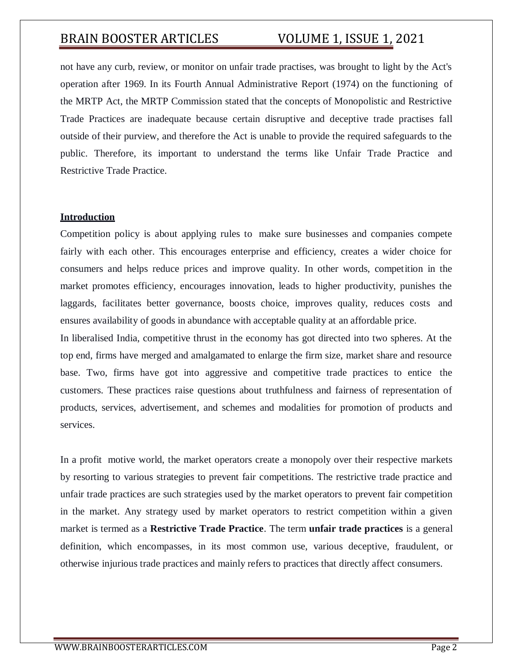not have any curb, review, or monitor on unfair trade practises, was brought to light by the Act's operation after 1969. In its Fourth Annual Administrative Report (1974) on the functioning of the MRTP Act, the MRTP Commission stated that the concepts of Monopolistic and Restrictive Trade Practices are inadequate because certain disruptive and deceptive trade practises fall outside of their purview, and therefore the Act is unable to provide the required safeguards to the public. Therefore, its important to understand the terms like Unfair Trade Practice and Restrictive Trade Practice.

### **Introduction**

Competition policy is about applying rules to make sure businesses and companies compete fairly with each other. This encourages enterprise and efficiency, creates a wider choice for consumers and helps reduce prices and improve quality. In other words, competition in the market promotes efficiency, encourages innovation, leads to higher productivity, punishes the laggards, facilitates better governance, boosts choice, improves quality, reduces costs and ensures availability of goods in abundance with acceptable quality at an affordable price.

In liberalised India, competitive thrust in the economy has got directed into two spheres. At the top end, firms have merged and amalgamated to enlarge the firm size, market share and resource base. Two, firms have got into aggressive and competitive trade practices to entice the customers. These practices raise questions about truthfulness and fairness of representation of products, services, advertisement, and schemes and modalities for promotion of products and services.

In a profit motive world, the market operators create a monopoly over their respective markets by resorting to various strategies to prevent fair competitions. The restrictive trade practice and unfair trade practices are such strategies used by the market operators to prevent fair competition in the market. Any strategy used by market operators to restrict competition within a given market is termed as a **Restrictive Trade Practice**. The term **unfair trade practices** is a general definition, which encompasses, in its most common use, various deceptive, fraudulent, or otherwise injurious trade practices and mainly refers to practices that directly affect consumers.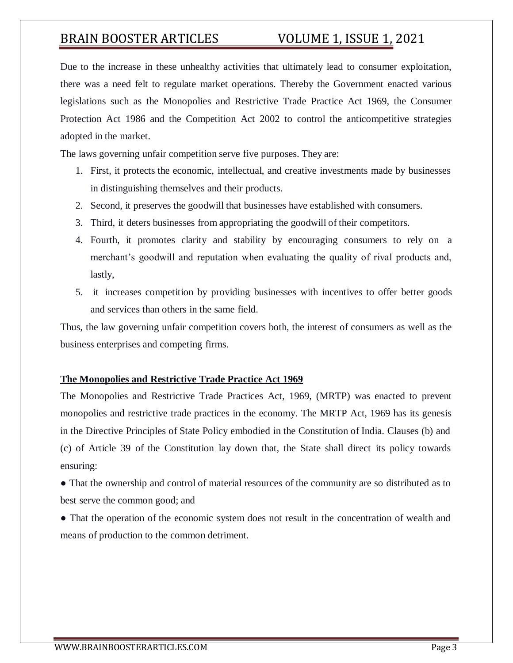Due to the increase in these unhealthy activities that ultimately lead to consumer exploitation, there was a need felt to regulate market operations. Thereby the Government enacted various legislations such as the Monopolies and Restrictive Trade Practice Act 1969, the Consumer Protection Act 1986 and the Competition Act 2002 to control the anticompetitive strategies adopted in the market.

The laws governing unfair competition serve five purposes. They are:

- 1. First, it protects the economic, intellectual, and creative investments made by businesses in distinguishing themselves and their products.
- 2. Second, it preserves the goodwill that businesses have established with consumers.
- 3. Third, it deters businesses from appropriating the goodwill of their competitors.
- 4. Fourth, it promotes clarity and stability by encouraging consumers to rely on a merchant's goodwill and reputation when evaluating the quality of rival products and, lastly,
- 5. it increases competition by providing businesses with incentives to offer better goods and services than others in the same field.

Thus, the law governing unfair competition covers both, the interest of consumers as well as the business enterprises and competing firms.

### **The Monopolies and Restrictive Trade Practice Act 1969**

The Monopolies and Restrictive Trade Practices Act, 1969, (MRTP) was enacted to prevent monopolies and restrictive trade practices in the economy. The MRTP Act, 1969 has its genesis in the Directive Principles of State Policy embodied in the Constitution of India. Clauses (b) and (c) of Article 39 of the Constitution lay down that, the State shall direct its policy towards ensuring:

● That the ownership and control of material resources of the community are so distributed as to best serve the common good; and

• That the operation of the economic system does not result in the concentration of wealth and means of production to the common detriment.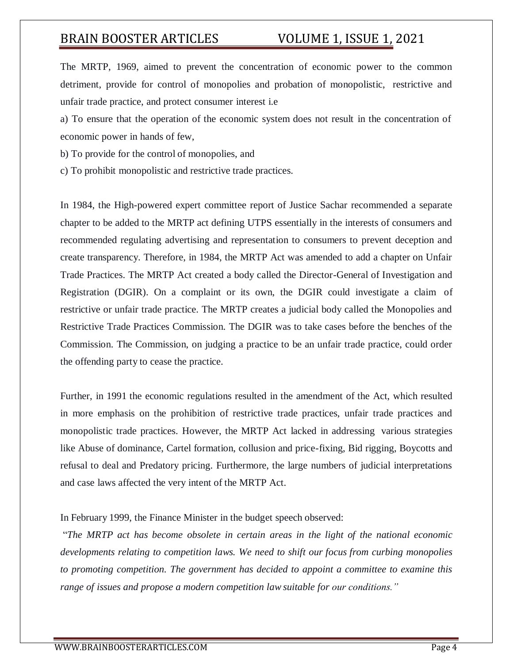The MRTP, 1969, aimed to prevent the concentration of economic power to the common detriment, provide for control of monopolies and probation of monopolistic, restrictive and unfair trade practice, and protect consumer interest i.e

a) To ensure that the operation of the economic system does not result in the concentration of economic power in hands of few,

b) To provide for the control of monopolies, and

c) To prohibit monopolistic and restrictive trade practices.

In 1984, the High-powered expert committee report of Justice Sachar recommended a separate chapter to be added to the MRTP act defining UTPS essentially in the interests of consumers and recommended regulating advertising and representation to consumers to prevent deception and create transparency. Therefore, in 1984, the MRTP Act was amended to add a chapter on Unfair Trade Practices. The MRTP Act created a body called the Director-General of Investigation and Registration (DGIR). On a complaint or its own, the DGIR could investigate a claim of restrictive or unfair trade practice. The MRTP creates a judicial body called the Monopolies and Restrictive Trade Practices Commission. The DGIR was to take cases before the benches of the Commission. The Commission, on judging a practice to be an unfair trade practice, could order the offending party to cease the practice.

Further, in 1991 the economic regulations resulted in the amendment of the Act, which resulted in more emphasis on the prohibition of restrictive trade practices, unfair trade practices and monopolistic trade practices. However, the MRTP Act lacked in addressing various strategies like Abuse of dominance, Cartel formation, collusion and price-fixing, Bid rigging, Boycotts and refusal to deal and Predatory pricing. Furthermore, the large numbers of judicial interpretations and case laws affected the very intent of the MRTP Act.

### In February 1999, the Finance Minister in the budget speech observed:

"*The MRTP act has become obsolete in certain areas in the light of the national economic developments relating to competition laws. We need to shift our focus from curbing monopolies to promoting competition. The government has decided to appoint a committee to examine this range of issues and propose a modern competition law suitable for our conditions."*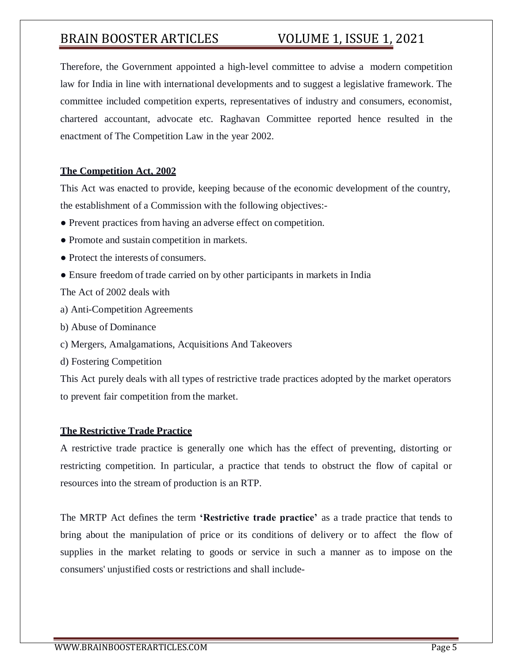Therefore, the Government appointed a high-level committee to advise a modern competition law for India in line with international developments and to suggest a legislative framework. The committee included competition experts, representatives of industry and consumers, economist, chartered accountant, advocate etc. Raghavan Committee reported hence resulted in the enactment of The Competition Law in the year 2002.

## **The Competition Act, 2002**

This Act was enacted to provide, keeping because of the economic development of the country, the establishment of a Commission with the following objectives:-

- Prevent practices from having an adverse effect on competition.
- Promote and sustain competition in markets.
- Protect the interests of consumers.
- Ensure freedom of trade carried on by other participants in markets in India

The Act of 2002 deals with

- a) Anti-Competition Agreements
- b) Abuse of Dominance
- c) Mergers, Amalgamations, Acquisitions And Takeovers
- d) Fostering Competition

This Act purely deals with all types of restrictive trade practices adopted by the market operators to prevent fair competition from the market.

## **The Restrictive Trade Practice**

A restrictive trade practice is generally one which has the effect of preventing, distorting or restricting competition. In particular, a practice that tends to obstruct the flow of capital or resources into the stream of production is an RTP.

The MRTP Act defines the term **'Restrictive trade practice'** as a trade practice that tends to bring about the manipulation of price or its conditions of delivery or to affect the flow of supplies in the market relating to goods or service in such a manner as to impose on the consumers' unjustified costs or restrictions and shall include-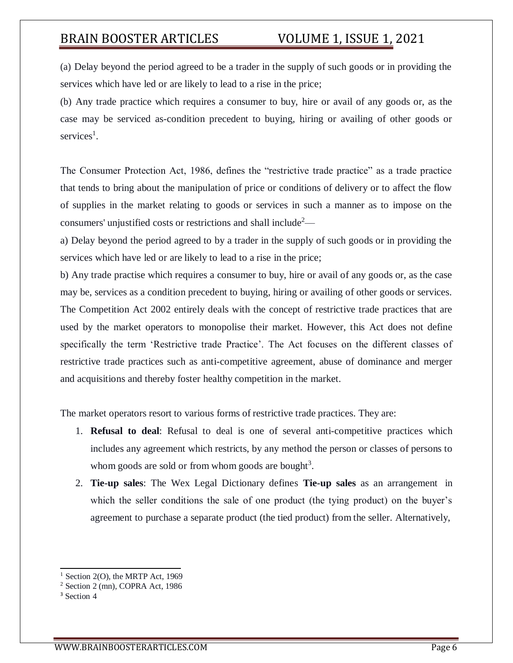(a) Delay beyond the period agreed to be a trader in the supply of such goods or in providing the services which have led or are likely to lead to a rise in the price;

(b) Any trade practice which requires a consumer to buy, hire or avail of any goods or, as the case may be serviced as-condition precedent to buying, hiring or availing of other goods or services<sup>1</sup>.

The Consumer Protection Act, 1986, defines the "restrictive trade practice" as a trade practice that tends to bring about the manipulation of price or conditions of delivery or to affect the flow of supplies in the market relating to goods or services in such a manner as to impose on the consumers' unjustified costs or restrictions and shall include<sup>2</sup>—

a) Delay beyond the period agreed to by a trader in the supply of such goods or in providing the services which have led or are likely to lead to a rise in the price;

b) Any trade practise which requires a consumer to buy, hire or avail of any goods or, as the case may be, services as a condition precedent to buying, hiring or availing of other goods or services. The Competition Act 2002 entirely deals with the concept of restrictive trade practices that are used by the market operators to monopolise their market. However, this Act does not define specifically the term 'Restrictive trade Practice'. The Act focuses on the different classes of restrictive trade practices such as anti-competitive agreement, abuse of dominance and merger and acquisitions and thereby foster healthy competition in the market.

The market operators resort to various forms of restrictive trade practices. They are:

- 1. **Refusal to deal**: Refusal to deal is one of several anti-competitive practices which includes any agreement which restricts, by any method the person or classes of persons to whom goods are sold or from whom goods are bought<sup>3</sup>.
- 2. **Tie-up sales**: The Wex Legal Dictionary defines **Tie-up sales** as an arrangement in which the seller conditions the sale of one product (the tying product) on the buyer's agreement to purchase a separate product (the tied product) from the seller. Alternatively,

 $<sup>1</sup>$  Section 2(O), the MRTP Act, 1969</sup>

<sup>2</sup> Section 2 (mn), COPRA Act, 1986

<sup>&</sup>lt;sup>3</sup> Section 4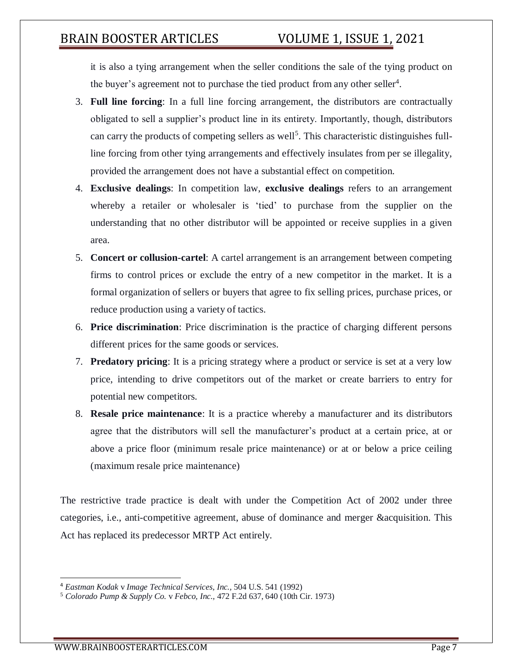it is also a tying arrangement when the seller conditions the sale of the tying product on the buyer's agreement not to purchase the tied product from any other seller<sup>4</sup>.

- 3. **Full line forcing**: In a full line forcing arrangement, the distributors are contractually obligated to sell a supplier's product line in its entirety. Importantly, though, distributors can carry the products of competing sellers as well<sup>5</sup>. This characteristic distinguishes fullline forcing from other tying arrangements and effectively insulates from per se illegality, provided the arrangement does not have a substantial effect on competition.
- 4. **Exclusive dealings**: In competition law, **exclusive dealings** refers to an arrangement whereby a retailer or wholesaler is 'tied' to purchase from the supplier on the understanding that no other distributor will be appointed or receive supplies in a given area.
- 5. **Concert or collusion-cartel**: A cartel arrangement is an arrangement between competing firms to control prices or exclude the entry of a new competitor in the market. It is a formal organization of sellers or buyers that agree to fix selling prices, purchase prices, or reduce production using a variety of tactics.
- 6. **Price discrimination**: Price discrimination is the practice of charging different persons different prices for the same goods or services.
- 7. **Predatory pricing**: It is a pricing strategy where a product or service is set at a very low price, intending to drive competitors out of the market or create barriers to entry for potential new competitors.
- 8. **Resale price maintenance**: It is a practice whereby a manufacturer and its distributors agree that the distributors will sell the manufacturer's product at a certain price, at or above a price floor (minimum resale price maintenance) or at or below a price ceiling (maximum resale price maintenance)

The restrictive trade practice is dealt with under the Competition Act of 2002 under three categories, i.e., anti-competitive agreement, abuse of dominance and merger &acquisition. This Act has replaced its predecessor MRTP Act entirely.

<sup>4</sup> *Eastman Kodak* v *Image Technical Services, Inc.,* 504 U.S. 541 (1992)

<sup>5</sup> *Colorado Pump & Supply Co.* v *Febco, Inc.,* 472 F.2d 637, 640 (10th Cir. 1973)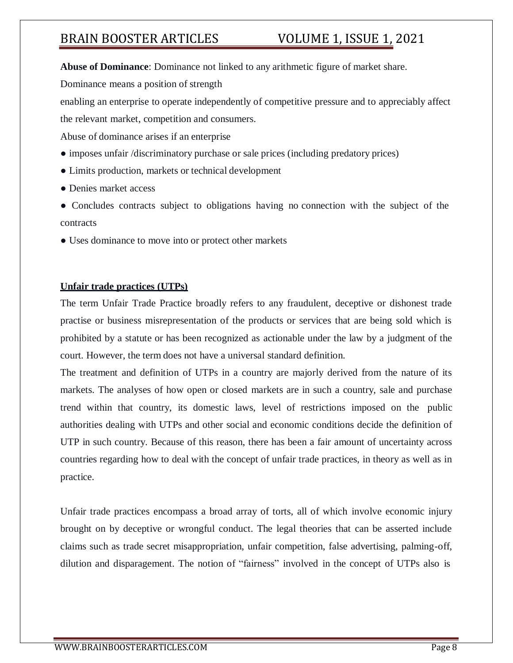**Abuse of Dominance**: Dominance not linked to any arithmetic figure of market share.

Dominance means a position of strength

enabling an enterprise to operate independently of competitive pressure and to appreciably affect

the relevant market, competition and consumers.

Abuse of dominance arises if an enterprise

- imposes unfair /discriminatory purchase or sale prices (including predatory prices)
- Limits production, markets or technical development
- Denies market access
- Concludes contracts subject to obligations having no connection with the subject of the contracts
- Uses dominance to move into or protect other markets

## **Unfair trade practices (UTPs)**

The term Unfair Trade Practice broadly refers to any fraudulent, deceptive or dishonest trade practise or business misrepresentation of the products or services that are being sold which is prohibited by a statute or has been recognized as actionable under the law by a judgment of the court. However, the term does not have a universal standard definition.

The treatment and definition of UTPs in a country are majorly derived from the nature of its markets. The analyses of how open or closed markets are in such a country, sale and purchase trend within that country, its domestic laws, level of restrictions imposed on the public authorities dealing with UTPs and other social and economic conditions decide the definition of UTP in such country. Because of this reason, there has been a fair amount of uncertainty across countries regarding how to deal with the concept of unfair trade practices, in theory as well as in practice.

Unfair trade practices encompass a broad array of torts, all of which involve economic injury brought on by deceptive or wrongful conduct. The legal theories that can be asserted include claims such as trade secret misappropriation, unfair competition, false advertising, palming-off, dilution and disparagement. The notion of "fairness" involved in the concept of UTPs also is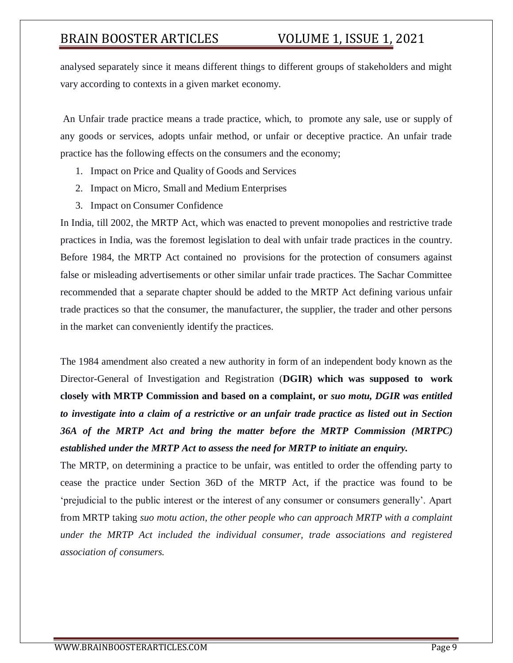analysed separately since it means different things to different groups of stakeholders and might vary according to contexts in a given market economy.

An Unfair trade practice means a trade practice, which, to promote any sale, use or supply of any goods or services, adopts unfair method, or unfair or deceptive practice. An unfair trade practice has the following effects on the consumers and the economy;

- 1. Impact on Price and Quality of Goods and Services
- 2. Impact on Micro, Small and Medium Enterprises
- 3. Impact on Consumer Confidence

In India, till 2002, the MRTP Act, which was enacted to prevent monopolies and restrictive trade practices in India, was the foremost legislation to deal with unfair trade practices in the country. Before 1984, the MRTP Act contained no provisions for the protection of consumers against false or misleading advertisements or other similar unfair trade practices. The Sachar Committee recommended that a separate chapter should be added to the MRTP Act defining various unfair trade practices so that the consumer, the manufacturer, the supplier, the trader and other persons in the market can conveniently identify the practices.

The 1984 amendment also created a new authority in form of an independent body known as the Director-General of Investigation and Registration (**DGIR) which was supposed to work closely with MRTP Commission and based on a complaint, or** *suo motu, DGIR was entitled to investigate into a claim of a restrictive or an unfair trade practice as listed out in Section 36A of the MRTP Act and bring the matter before the MRTP Commission (MRTPC) established under the MRTP Act to assess the need for MRTP to initiate an enquiry.*

The MRTP, on determining a practice to be unfair, was entitled to order the offending party to cease the practice under Section 36D of the MRTP Act, if the practice was found to be 'prejudicial to the public interest or the interest of any consumer or consumers generally'. Apart from MRTP taking *suo motu action, the other people who can approach MRTP with a complaint under the MRTP Act included the individual consumer, trade associations and registered association of consumers.*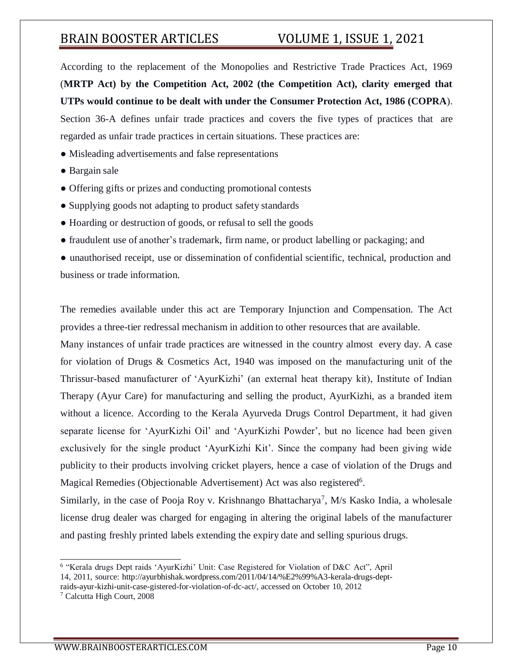According to the replacement of the Monopolies and Restrictive Trade Practices Act, 1969 (**MRTP Act) by the Competition Act, 2002 (the Competition Act), clarity emerged that UTPs would continue to be dealt with under the Consumer Protection Act, 1986 (COPRA**). Section 36-A defines unfair trade practices and covers the five types of practices that are regarded as unfair trade practices in certain situations. These practices are:

- Misleading advertisements and false representations
- Bargain sale
- Offering gifts or prizes and conducting promotional contests
- Supplying goods not adapting to product safety standards
- Hoarding or destruction of goods, or refusal to sell the goods
- fraudulent use of another's trademark, firm name, or product labelling or packaging; and
- unauthorised receipt, use or dissemination of confidential scientific, technical, production and business or trade information.

The remedies available under this act are Temporary Injunction and Compensation. The Act provides a three-tier redressal mechanism in addition to other resources that are available.

Many instances of unfair trade practices are witnessed in the country almost every day. A case for violation of Drugs & Cosmetics Act, 1940 was imposed on the manufacturing unit of the Thrissur-based manufacturer of 'AyurKizhi' (an external heat therapy kit), Institute of Indian Therapy (Ayur Care) for manufacturing and selling the product, AyurKizhi, as a branded item without a licence. According to the Kerala Ayurveda Drugs Control Department, it had given separate license for 'AyurKizhi Oil' and 'AyurKizhi Powder', but no licence had been given exclusively for the single product 'AyurKizhi Kit'. Since the company had been giving wide publicity to their products involving cricket players, hence a case of violation of the Drugs and Magical Remedies (Objectionable Advertisement) Act was also registered<sup>6</sup>.

Similarly, in the case of Pooja Roy v. Krishnango Bhattacharya<sup>7</sup>, M/s Kasko India, a wholesale license drug dealer was charged for engaging in altering the original labels of the manufacturer and pasting freshly printed labels extending the expiry date and selling spurious drugs.

<sup>&</sup>lt;sup>6</sup> "Kerala drugs Dept raids 'AyurKizhi' Unit: Case Registered for Violation of D&C Act", April 14, 2011, source: [http://ayurbhishak.wordpress.com/2011/04/14/%E2%99%A3-kerala-drugs-dept](http://ayurbhishak.wordpress.com/2011/04/14/%E2%99%A3-kerala-drugs-dept-)raids-ayur-kizhi-unit-case-gistered-for-violation-of-dc-act/, accessed on October 10, 2012

<sup>7</sup> Calcutta High Court, 2008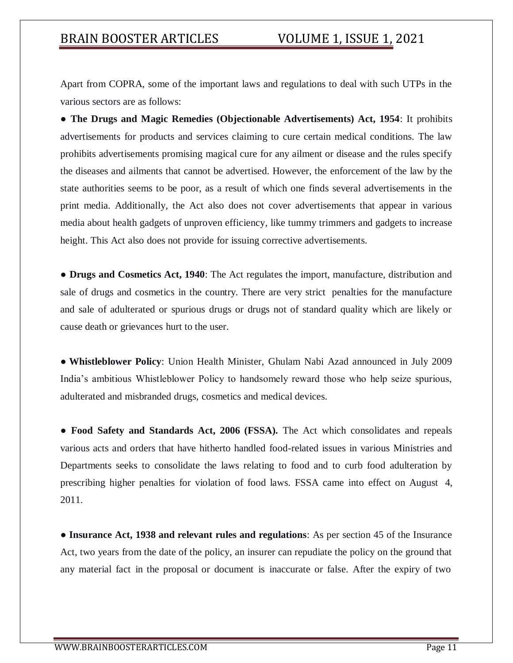Apart from COPRA, some of the important laws and regulations to deal with such UTPs in the various sectors are as follows:

● **The Drugs and Magic Remedies (Objectionable Advertisements) Act, 1954**: It prohibits advertisements for products and services claiming to cure certain medical conditions. The law prohibits advertisements promising magical cure for any ailment or disease and the rules specify the diseases and ailments that cannot be advertised. However, the enforcement of the law by the state authorities seems to be poor, as a result of which one finds several advertisements in the print media. Additionally, the Act also does not cover advertisements that appear in various media about health gadgets of unproven efficiency, like tummy trimmers and gadgets to increase height. This Act also does not provide for issuing corrective advertisements.

● **Drugs and Cosmetics Act, 1940**: The Act regulates the import, manufacture, distribution and sale of drugs and cosmetics in the country. There are very strict penalties for the manufacture and sale of adulterated or spurious drugs or drugs not of standard quality which are likely or cause death or grievances hurt to the user.

● **Whistleblower Policy**: Union Health Minister, Ghulam Nabi Azad announced in July 2009 India's ambitious Whistleblower Policy to handsomely reward those who help seize spurious, adulterated and misbranded drugs, cosmetics and medical devices.

• **Food Safety and Standards Act, 2006 (FSSA).** The Act which consolidates and repeals various acts and orders that have hitherto handled food-related issues in various Ministries and Departments seeks to consolidate the laws relating to food and to curb food adulteration by prescribing higher penalties for violation of food laws. FSSA came into effect on August 4, 2011.

● **Insurance Act, 1938 and relevant rules and regulations**: As per section 45 of the Insurance Act, two years from the date of the policy, an insurer can repudiate the policy on the ground that any material fact in the proposal or document is inaccurate or false. After the expiry of two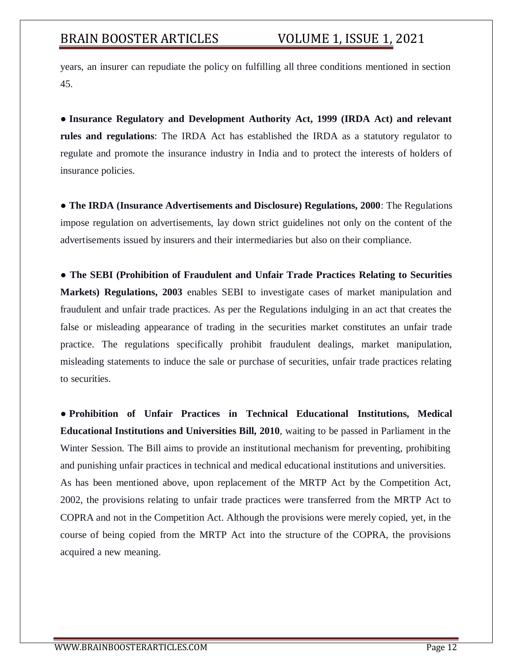years, an insurer can repudiate the policy on fulfilling all three conditions mentioned in section 45.

● **Insurance Regulatory and Development Authority Act, 1999 (IRDA Act) and relevant rules and regulations**: The IRDA Act has established the IRDA as a statutory regulator to regulate and promote the insurance industry in India and to protect the interests of holders of insurance policies.

● **The IRDA (Insurance Advertisements and Disclosure) Regulations, 2000**: The Regulations impose regulation on advertisements, lay down strict guidelines not only on the content of the advertisements issued by insurers and their intermediaries but also on their compliance.

● **The SEBI (Prohibition of Fraudulent and Unfair Trade Practices Relating to Securities Markets) Regulations, 2003** enables SEBI to investigate cases of market manipulation and fraudulent and unfair trade practices. As per the Regulations indulging in an act that creates the false or misleading appearance of trading in the securities market constitutes an unfair trade practice. The regulations specifically prohibit fraudulent dealings, market manipulation, misleading statements to induce the sale or purchase of securities, unfair trade practices relating to securities.

● **Prohibition of Unfair Practices in Technical Educational Institutions, Medical Educational Institutions and Universities Bill, 2010**, waiting to be passed in Parliament in the Winter Session. The Bill aims to provide an institutional mechanism for preventing, prohibiting and punishing unfair practices in technical and medical educational institutions and universities. As has been mentioned above, upon replacement of the MRTP Act by the Competition Act, 2002, the provisions relating to unfair trade practices were transferred from the MRTP Act to COPRA and not in the Competition Act. Although the provisions were merely copied, yet, in the course of being copied from the MRTP Act into the structure of the COPRA, the provisions acquired a new meaning.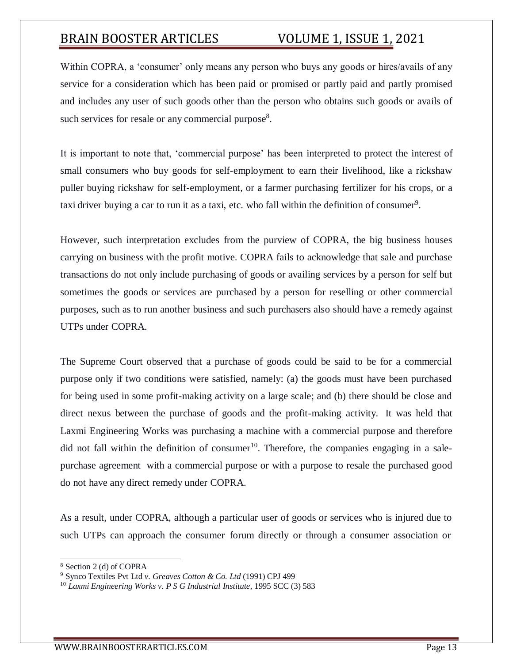Within COPRA, a 'consumer' only means any person who buys any goods or hires/avails of any service for a consideration which has been paid or promised or partly paid and partly promised and includes any user of such goods other than the person who obtains such goods or avails of such services for resale or any commercial purpose $8$ .

It is important to note that, 'commercial purpose' has been interpreted to protect the interest of small consumers who buy goods for self-employment to earn their livelihood, like a rickshaw puller buying rickshaw for self-employment, or a farmer purchasing fertilizer for his crops, or a taxi driver buying a car to run it as a taxi, etc. who fall within the definition of consumer<sup>9</sup>.

However, such interpretation excludes from the purview of COPRA, the big business houses carrying on business with the profit motive. COPRA fails to acknowledge that sale and purchase transactions do not only include purchasing of goods or availing services by a person for self but sometimes the goods or services are purchased by a person for reselling or other commercial purposes, such as to run another business and such purchasers also should have a remedy against UTPs under COPRA.

The Supreme Court observed that a purchase of goods could be said to be for a commercial purpose only if two conditions were satisfied, namely: (a) the goods must have been purchased for being used in some profit-making activity on a large scale; and (b) there should be close and direct nexus between the purchase of goods and the profit-making activity. It was held that Laxmi Engineering Works was purchasing a machine with a commercial purpose and therefore did not fall within the definition of consumer<sup>10</sup>. Therefore, the companies engaging in a salepurchase agreement with a commercial purpose or with a purpose to resale the purchased good do not have any direct remedy under COPRA.

As a result, under COPRA, although a particular user of goods or services who is injured due to such UTPs can approach the consumer forum directly or through a consumer association or

<sup>8</sup> Section 2 (d) of COPRA

<sup>9</sup> Synco Textiles Pvt Ltd *v. Greaves Cotton & Co. Ltd* (1991) CPJ 499

<sup>10</sup> *Laxmi Engineering Works v. P S G Industrial Institute*, 1995 SCC (3) 583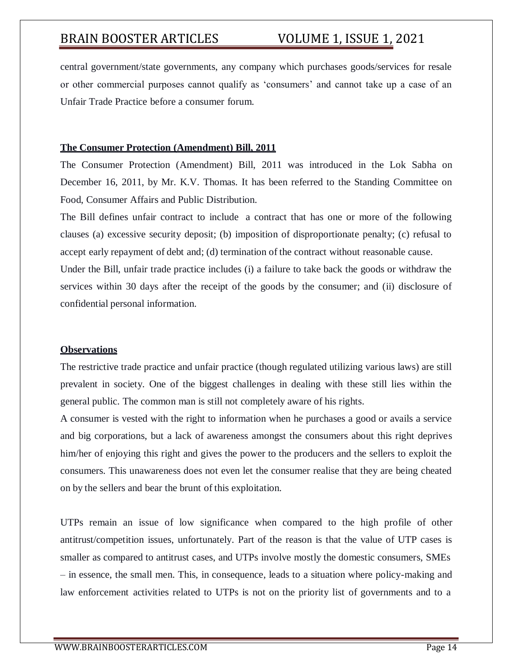central government/state governments, any company which purchases goods/services for resale or other commercial purposes cannot qualify as 'consumers' and cannot take up a case of an Unfair Trade Practice before a consumer forum.

### **The Consumer Protection (Amendment) Bill, 2011**

The Consumer Protection (Amendment) Bill, 2011 was introduced in the Lok Sabha on December 16, 2011, by Mr. K.V. Thomas. It has been referred to the Standing Committee on Food, Consumer Affairs and Public Distribution.

The Bill defines unfair contract to include a contract that has one or more of the following clauses (a) excessive security deposit; (b) imposition of disproportionate penalty; (c) refusal to accept early repayment of debt and; (d) termination of the contract without reasonable cause.

Under the Bill, unfair trade practice includes (i) a failure to take back the goods or withdraw the services within 30 days after the receipt of the goods by the consumer; and (ii) disclosure of confidential personal information.

### **Observations**

The restrictive trade practice and unfair practice (though regulated utilizing various laws) are still prevalent in society. One of the biggest challenges in dealing with these still lies within the general public. The common man is still not completely aware of his rights.

A consumer is vested with the right to information when he purchases a good or avails a service and big corporations, but a lack of awareness amongst the consumers about this right deprives him/her of enjoying this right and gives the power to the producers and the sellers to exploit the consumers. This unawareness does not even let the consumer realise that they are being cheated on by the sellers and bear the brunt of this exploitation.

UTPs remain an issue of low significance when compared to the high profile of other antitrust/competition issues, unfortunately. Part of the reason is that the value of UTP cases is smaller as compared to antitrust cases, and UTPs involve mostly the domestic consumers, SMEs – in essence, the small men. This, in consequence, leads to a situation where policy-making and law enforcement activities related to UTPs is not on the priority list of governments and to a